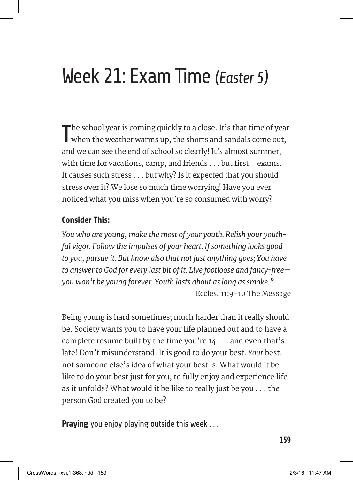## Week 21: Exam Time *(Easter 5)*

The school year is coming quickly to a close. It's that time of year<br>when the weather warms up, the shorts and sandals come out,  $\blacksquare$  he school year is coming quickly to a close. It's that time of year and we can see the end of school so clearly! It's almost summer, with time for vacations, camp, and friends . . . but first—exams. It causes such stress . . . but why? Is it expected that you should stress over it? We lose so much time worrying! Have you ever noticed what you miss when you're so consumed with worry?

## **Consider This:**

*You who are young, make the most of your youth. Relish your youthful vigor. Follow the impulses of your heart. If something looks good to you, pursue it. But know also that not just anything goes; You have to answer to God for every last bit of it. Live footloose and fancy-free you won't be young forever. Youth lasts about as long as smoke."*  Eccles. 11:9–10 The Message

Being young is hard sometimes; much harder than it really should be. Society wants you to have your life planned out and to have a complete resume built by the time you're  $14 \ldots$  and even that's late! Don't misunderstand. It is good to do your best. *Your* best. not someone else's idea of what your best is. What would it be like to do your best just for you, to fully enjoy and experience life as it unfolds? What would it be like to really just be you . . . the person God created you to be?

**Praying** you enjoy playing outside this week . . .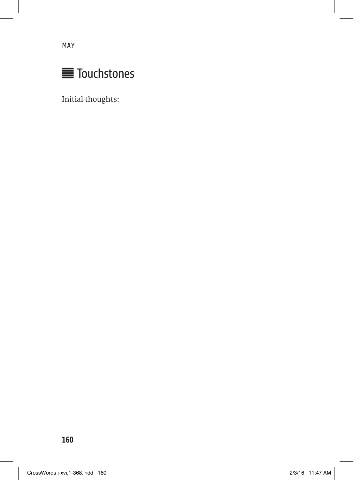May



Initial thoughts: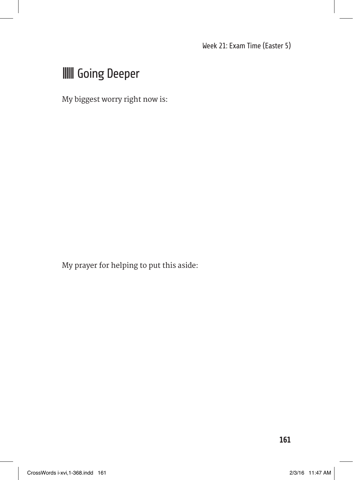## **III** Going Deeper

My biggest worry right now is:

My prayer for helping to put this aside: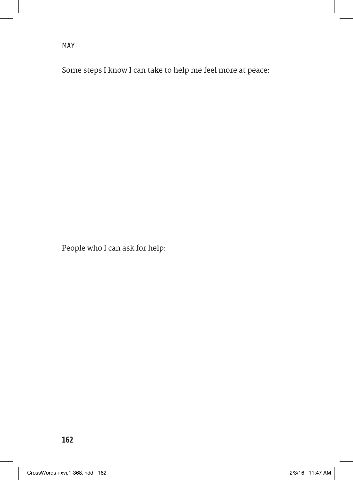Some steps I know I can take to help me feel more at peace:

People who I can ask for help: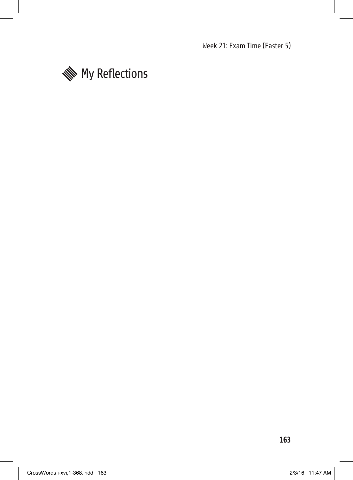Week 21: Exam Time (Easter 5)